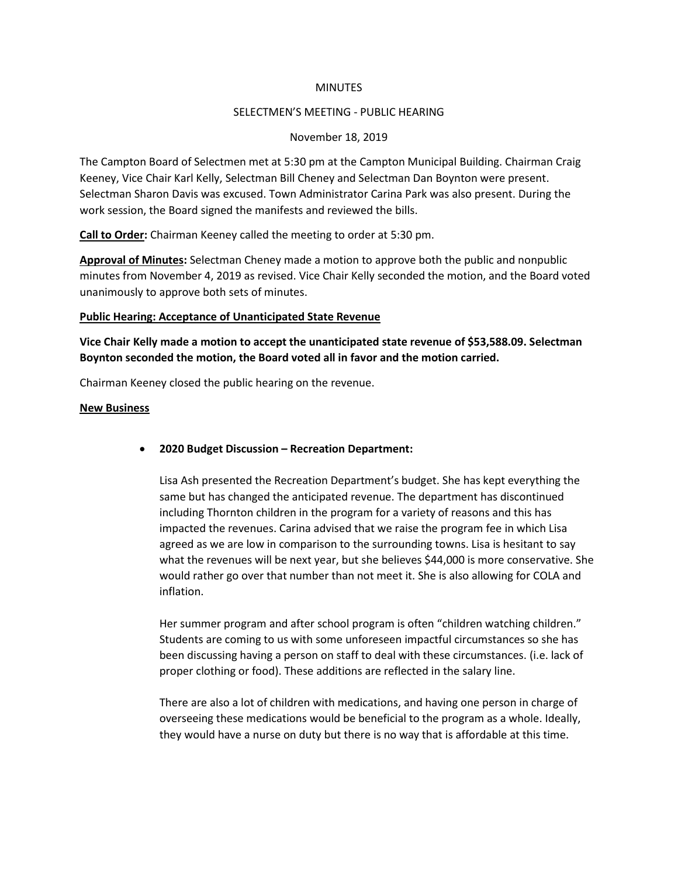### **MINUTES**

## SELECTMEN'S MEETING - PUBLIC HEARING

## November 18, 2019

The Campton Board of Selectmen met at 5:30 pm at the Campton Municipal Building. Chairman Craig Keeney, Vice Chair Karl Kelly, Selectman Bill Cheney and Selectman Dan Boynton were present. Selectman Sharon Davis was excused. Town Administrator Carina Park was also present. During the work session, the Board signed the manifests and reviewed the bills.

**Call to Order:** Chairman Keeney called the meeting to order at 5:30 pm.

**Approval of Minutes:** Selectman Cheney made a motion to approve both the public and nonpublic minutes from November 4, 2019 as revised. Vice Chair Kelly seconded the motion, and the Board voted unanimously to approve both sets of minutes.

### **Public Hearing: Acceptance of Unanticipated State Revenue**

**Vice Chair Kelly made a motion to accept the unanticipated state revenue of \$53,588.09. Selectman Boynton seconded the motion, the Board voted all in favor and the motion carried.**

Chairman Keeney closed the public hearing on the revenue.

### **New Business**

• **2020 Budget Discussion – Recreation Department:** 

Lisa Ash presented the Recreation Department's budget. She has kept everything the same but has changed the anticipated revenue. The department has discontinued including Thornton children in the program for a variety of reasons and this has impacted the revenues. Carina advised that we raise the program fee in which Lisa agreed as we are low in comparison to the surrounding towns. Lisa is hesitant to say what the revenues will be next year, but she believes \$44,000 is more conservative. She would rather go over that number than not meet it. She is also allowing for COLA and inflation.

Her summer program and after school program is often "children watching children." Students are coming to us with some unforeseen impactful circumstances so she has been discussing having a person on staff to deal with these circumstances. (i.e. lack of proper clothing or food). These additions are reflected in the salary line.

There are also a lot of children with medications, and having one person in charge of overseeing these medications would be beneficial to the program as a whole. Ideally, they would have a nurse on duty but there is no way that is affordable at this time.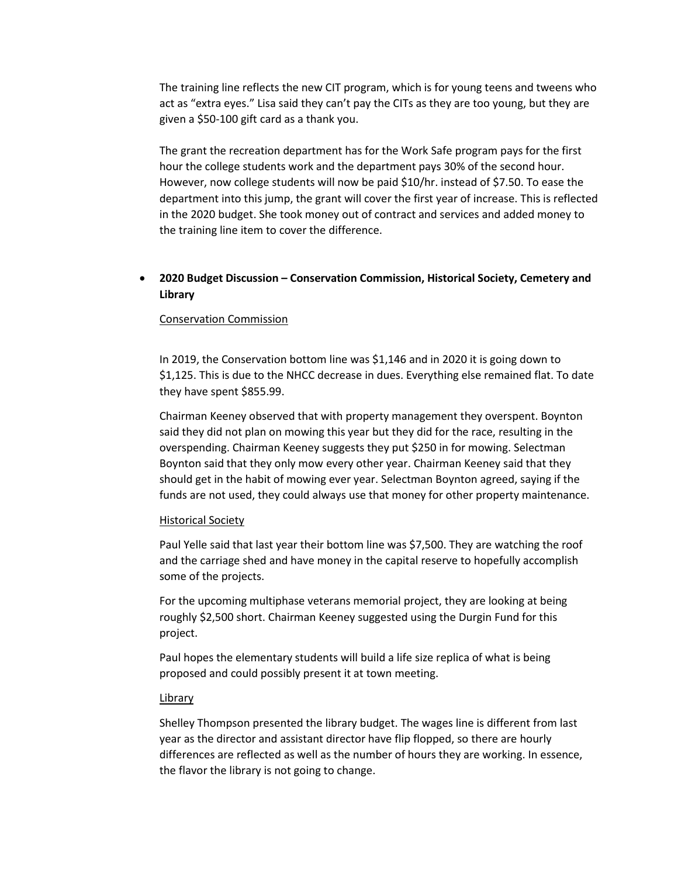The training line reflects the new CIT program, which is for young teens and tweens who act as "extra eyes." Lisa said they can't pay the CITs as they are too young, but they are given a \$50-100 gift card as a thank you.

The grant the recreation department has for the Work Safe program pays for the first hour the college students work and the department pays 30% of the second hour. However, now college students will now be paid \$10/hr. instead of \$7.50. To ease the department into this jump, the grant will cover the first year of increase. This is reflected in the 2020 budget. She took money out of contract and services and added money to the training line item to cover the difference.

# • **2020 Budget Discussion – Conservation Commission, Historical Society, Cemetery and Library**

## Conservation Commission

In 2019, the Conservation bottom line was \$1,146 and in 2020 it is going down to \$1,125. This is due to the NHCC decrease in dues. Everything else remained flat. To date they have spent \$855.99.

Chairman Keeney observed that with property management they overspent. Boynton said they did not plan on mowing this year but they did for the race, resulting in the overspending. Chairman Keeney suggests they put \$250 in for mowing. Selectman Boynton said that they only mow every other year. Chairman Keeney said that they should get in the habit of mowing ever year. Selectman Boynton agreed, saying if the funds are not used, they could always use that money for other property maintenance.

## Historical Society

Paul Yelle said that last year their bottom line was \$7,500. They are watching the roof and the carriage shed and have money in the capital reserve to hopefully accomplish some of the projects.

For the upcoming multiphase veterans memorial project, they are looking at being roughly \$2,500 short. Chairman Keeney suggested using the Durgin Fund for this project.

Paul hopes the elementary students will build a life size replica of what is being proposed and could possibly present it at town meeting.

## Library

Shelley Thompson presented the library budget. The wages line is different from last year as the director and assistant director have flip flopped, so there are hourly differences are reflected as well as the number of hours they are working. In essence, the flavor the library is not going to change.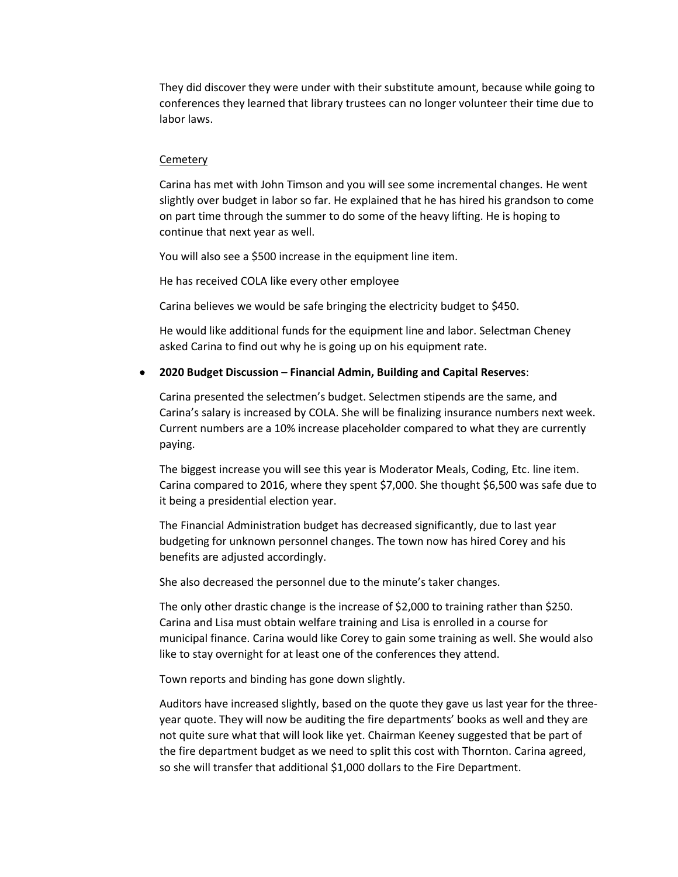They did discover they were under with their substitute amount, because while going to conferences they learned that library trustees can no longer volunteer their time due to labor laws.

#### **Cemetery**

Carina has met with John Timson and you will see some incremental changes. He went slightly over budget in labor so far. He explained that he has hired his grandson to come on part time through the summer to do some of the heavy lifting. He is hoping to continue that next year as well.

You will also see a \$500 increase in the equipment line item.

He has received COLA like every other employee

Carina believes we would be safe bringing the electricity budget to \$450.

He would like additional funds for the equipment line and labor. Selectman Cheney asked Carina to find out why he is going up on his equipment rate.

## • **2020 Budget Discussion – Financial Admin, Building and Capital Reserves**:

Carina presented the selectmen's budget. Selectmen stipends are the same, and Carina's salary is increased by COLA. She will be finalizing insurance numbers next week. Current numbers are a 10% increase placeholder compared to what they are currently paying.

The biggest increase you will see this year is Moderator Meals, Coding, Etc. line item. Carina compared to 2016, where they spent \$7,000. She thought \$6,500 was safe due to it being a presidential election year.

The Financial Administration budget has decreased significantly, due to last year budgeting for unknown personnel changes. The town now has hired Corey and his benefits are adjusted accordingly.

She also decreased the personnel due to the minute's taker changes.

The only other drastic change is the increase of \$2,000 to training rather than \$250. Carina and Lisa must obtain welfare training and Lisa is enrolled in a course for municipal finance. Carina would like Corey to gain some training as well. She would also like to stay overnight for at least one of the conferences they attend.

Town reports and binding has gone down slightly.

Auditors have increased slightly, based on the quote they gave us last year for the threeyear quote. They will now be auditing the fire departments' books as well and they are not quite sure what that will look like yet. Chairman Keeney suggested that be part of the fire department budget as we need to split this cost with Thornton. Carina agreed, so she will transfer that additional \$1,000 dollars to the Fire Department.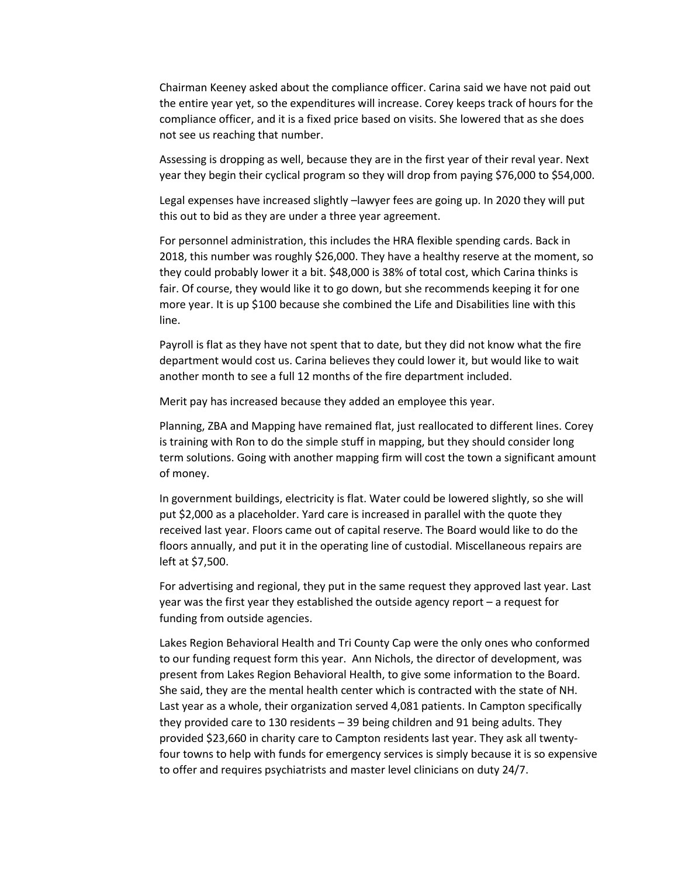Chairman Keeney asked about the compliance officer. Carina said we have not paid out the entire year yet, so the expenditures will increase. Corey keeps track of hours for the compliance officer, and it is a fixed price based on visits. She lowered that as she does not see us reaching that number.

Assessing is dropping as well, because they are in the first year of their reval year. Next year they begin their cyclical program so they will drop from paying \$76,000 to \$54,000.

Legal expenses have increased slightly –lawyer fees are going up. In 2020 they will put this out to bid as they are under a three year agreement.

For personnel administration, this includes the HRA flexible spending cards. Back in 2018, this number was roughly \$26,000. They have a healthy reserve at the moment, so they could probably lower it a bit. \$48,000 is 38% of total cost, which Carina thinks is fair. Of course, they would like it to go down, but she recommends keeping it for one more year. It is up \$100 because she combined the Life and Disabilities line with this line.

Payroll is flat as they have not spent that to date, but they did not know what the fire department would cost us. Carina believes they could lower it, but would like to wait another month to see a full 12 months of the fire department included.

Merit pay has increased because they added an employee this year.

Planning, ZBA and Mapping have remained flat, just reallocated to different lines. Corey is training with Ron to do the simple stuff in mapping, but they should consider long term solutions. Going with another mapping firm will cost the town a significant amount of money.

In government buildings, electricity is flat. Water could be lowered slightly, so she will put \$2,000 as a placeholder. Yard care is increased in parallel with the quote they received last year. Floors came out of capital reserve. The Board would like to do the floors annually, and put it in the operating line of custodial. Miscellaneous repairs are left at \$7,500.

For advertising and regional, they put in the same request they approved last year. Last year was the first year they established the outside agency report – a request for funding from outside agencies.

Lakes Region Behavioral Health and Tri County Cap were the only ones who conformed to our funding request form this year. Ann Nichols, the director of development, was present from Lakes Region Behavioral Health, to give some information to the Board. She said, they are the mental health center which is contracted with the state of NH. Last year as a whole, their organization served 4,081 patients. In Campton specifically they provided care to 130 residents – 39 being children and 91 being adults. They provided \$23,660 in charity care to Campton residents last year. They ask all twentyfour towns to help with funds for emergency services is simply because it is so expensive to offer and requires psychiatrists and master level clinicians on duty 24/7.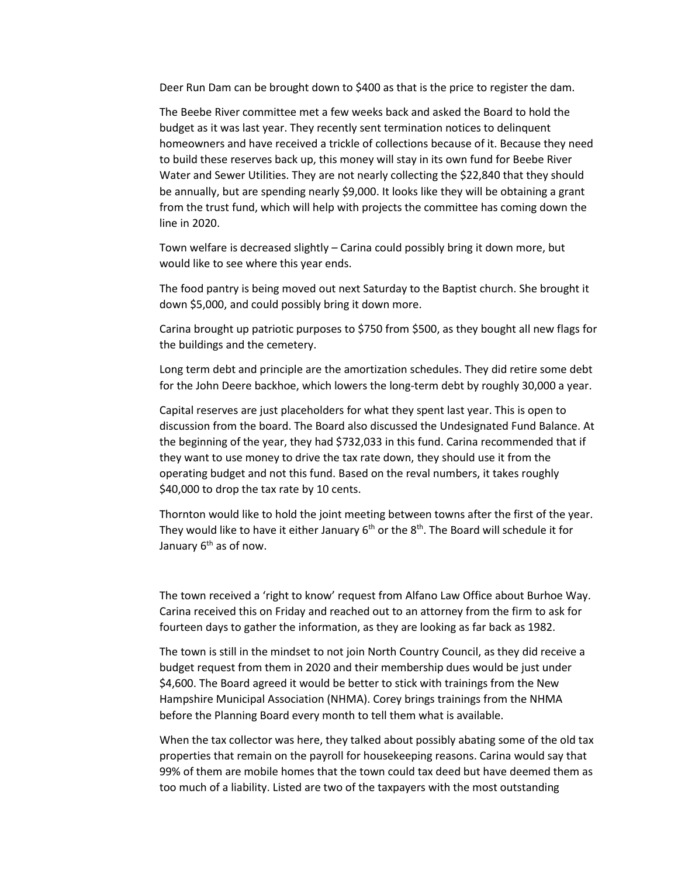Deer Run Dam can be brought down to \$400 as that is the price to register the dam.

The Beebe River committee met a few weeks back and asked the Board to hold the budget as it was last year. They recently sent termination notices to delinquent homeowners and have received a trickle of collections because of it. Because they need to build these reserves back up, this money will stay in its own fund for Beebe River Water and Sewer Utilities. They are not nearly collecting the \$22,840 that they should be annually, but are spending nearly \$9,000. It looks like they will be obtaining a grant from the trust fund, which will help with projects the committee has coming down the line in 2020.

Town welfare is decreased slightly – Carina could possibly bring it down more, but would like to see where this year ends.

The food pantry is being moved out next Saturday to the Baptist church. She brought it down \$5,000, and could possibly bring it down more.

Carina brought up patriotic purposes to \$750 from \$500, as they bought all new flags for the buildings and the cemetery.

Long term debt and principle are the amortization schedules. They did retire some debt for the John Deere backhoe, which lowers the long-term debt by roughly 30,000 a year.

Capital reserves are just placeholders for what they spent last year. This is open to discussion from the board. The Board also discussed the Undesignated Fund Balance. At the beginning of the year, they had \$732,033 in this fund. Carina recommended that if they want to use money to drive the tax rate down, they should use it from the operating budget and not this fund. Based on the reval numbers, it takes roughly \$40,000 to drop the tax rate by 10 cents.

Thornton would like to hold the joint meeting between towns after the first of the year. They would like to have it either January 6<sup>th</sup> or the 8<sup>th</sup>. The Board will schedule it for January 6<sup>th</sup> as of now.

The town received a 'right to know' request from Alfano Law Office about Burhoe Way. Carina received this on Friday and reached out to an attorney from the firm to ask for fourteen days to gather the information, as they are looking as far back as 1982.

The town is still in the mindset to not join North Country Council, as they did receive a budget request from them in 2020 and their membership dues would be just under \$4,600. The Board agreed it would be better to stick with trainings from the New Hampshire Municipal Association (NHMA). Corey brings trainings from the NHMA before the Planning Board every month to tell them what is available.

When the tax collector was here, they talked about possibly abating some of the old tax properties that remain on the payroll for housekeeping reasons. Carina would say that 99% of them are mobile homes that the town could tax deed but have deemed them as too much of a liability. Listed are two of the taxpayers with the most outstanding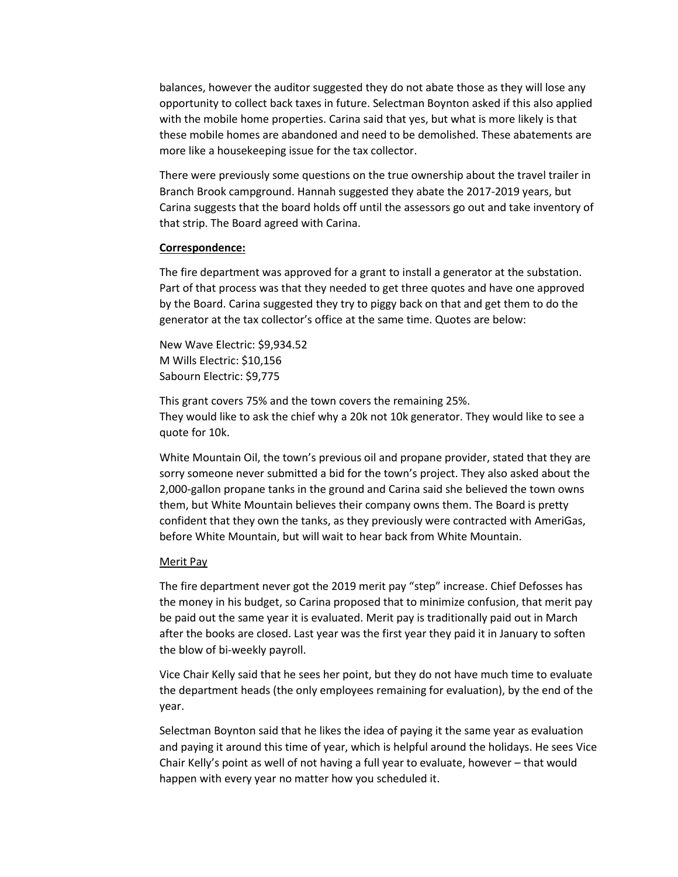balances, however the auditor suggested they do not abate those as they will lose any opportunity to collect back taxes in future. Selectman Boynton asked if this also applied with the mobile home properties. Carina said that yes, but what is more likely is that these mobile homes are abandoned and need to be demolished. These abatements are more like a housekeeping issue for the tax collector.

There were previously some questions on the true ownership about the travel trailer in Branch Brook campground. Hannah suggested they abate the 2017-2019 years, but Carina suggests that the board holds off until the assessors go out and take inventory of that strip. The Board agreed with Carina.

#### **Correspondence:**

The fire department was approved for a grant to install a generator at the substation. Part of that process was that they needed to get three quotes and have one approved by the Board. Carina suggested they try to piggy back on that and get them to do the generator at the tax collector's office at the same time. Quotes are below:

New Wave Electric: \$9,934.52 M Wills Electric: \$10,156 Sabourn Electric: \$9,775

This grant covers 75% and the town covers the remaining 25%. They would like to ask the chief why a 20k not 10k generator. They would like to see a quote for 10k.

White Mountain Oil, the town's previous oil and propane provider, stated that they are sorry someone never submitted a bid for the town's project. They also asked about the 2,000-gallon propane tanks in the ground and Carina said she believed the town owns them, but White Mountain believes their company owns them. The Board is pretty confident that they own the tanks, as they previously were contracted with AmeriGas, before White Mountain, but will wait to hear back from White Mountain.

### Merit Pay

The fire department never got the 2019 merit pay "step" increase. Chief Defosses has the money in his budget, so Carina proposed that to minimize confusion, that merit pay be paid out the same year it is evaluated. Merit pay is traditionally paid out in March after the books are closed. Last year was the first year they paid it in January to soften the blow of bi-weekly payroll.

Vice Chair Kelly said that he sees her point, but they do not have much time to evaluate the department heads (the only employees remaining for evaluation), by the end of the year.

Selectman Boynton said that he likes the idea of paying it the same year as evaluation and paying it around this time of year, which is helpful around the holidays. He sees Vice Chair Kelly's point as well of not having a full year to evaluate, however – that would happen with every year no matter how you scheduled it.